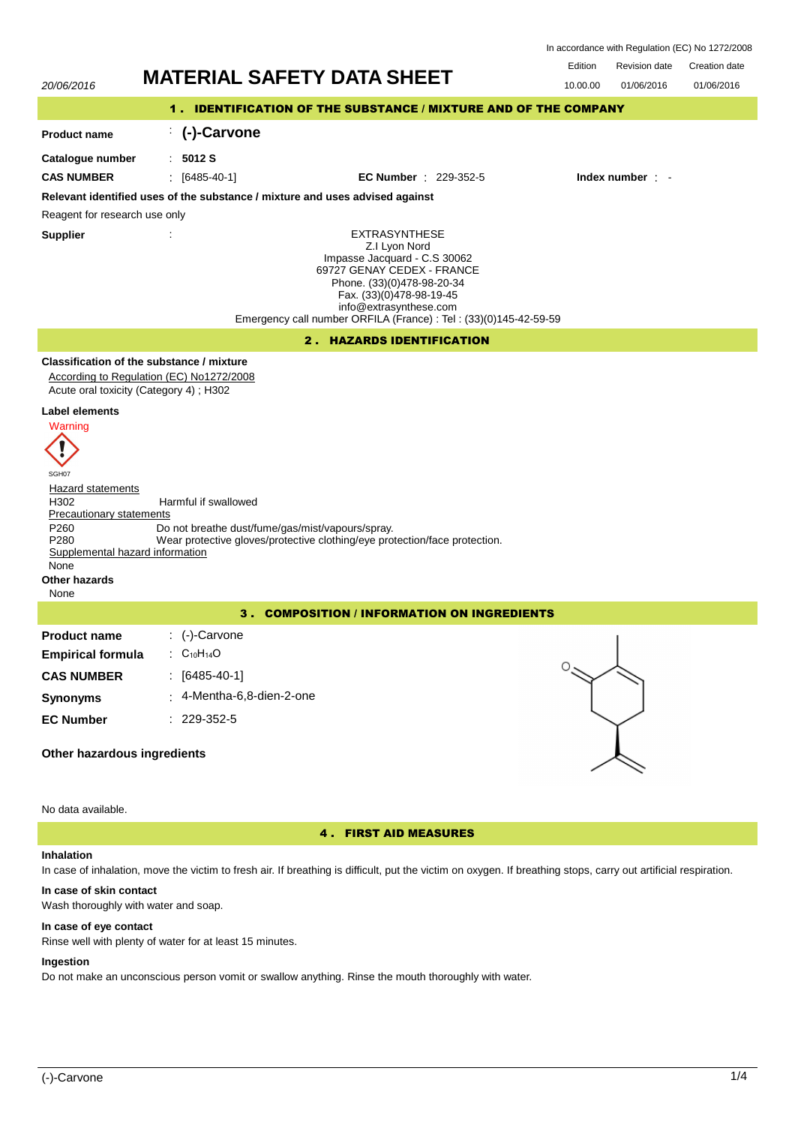| In accordance with Regulation (EC) No 1272/2008                 |                                   |               |               |  |  |
|-----------------------------------------------------------------|-----------------------------------|---------------|---------------|--|--|
|                                                                 | <b>F</b> dition                   | Revision date | Creation date |  |  |
| 20/06/2016                                                      |                                   | 01/06/2016    | 01/06/2016    |  |  |
| 1. IDENTIFICATION OF THE SUBSTANCE / MIXTURE AND OF THE COMPANY |                                   |               |               |  |  |
| (-)-Carvone                                                     |                                   |               |               |  |  |
|                                                                 | <b>MATERIAL SAFETY DATA SHEET</b> | 10.00.00      |               |  |  |

Ω

**Relevant identified uses of the substance / mixture and uses advised against**

: **5012 S**

Reagent for research use only

**Supplier** :

**Product name Catalogue number**

> EXTRASYNTHESE Z.I Lyon Nord Impasse Jacquard - C.S 30062 69727 GENAY CEDEX - FRANCE Phone. (33)(0)478-98-20-34 Fax. (33)(0)478-98-19-45 info@extrasynthese.com Emergency call number ORFILA (France) : Tel : (33)(0)145-42-59-59

# 2 . HAZARDS IDENTIFICATION

**CAS NUMBER** : [6485-40-1] **EC Number** : 229-352-5 **Index number** : -

# **Classification of the substance / mixture**

According to Regulation (EC) No1272/2008 Acute oral toxicity (Category 4) ; H302

### **Label elements**



| SGH07                           |                                                                            |
|---------------------------------|----------------------------------------------------------------------------|
| Hazard statements               |                                                                            |
| H <sub>302</sub>                | Harmful if swallowed                                                       |
| Precautionary statements        |                                                                            |
| P <sub>260</sub>                | Do not breathe dust/fume/gas/mist/vapours/spray.                           |
| P <sub>280</sub>                | Wear protective gloves/protective clothing/eye protection/face protection. |
| Supplemental hazard information |                                                                            |
| None                            |                                                                            |
| Other hazards                   |                                                                            |

None

# 3 . COMPOSITION / INFORMATION ON INGREDIENTS

| <b>Product name</b>      | $\therefore$ (-)-Carvone                       |
|--------------------------|------------------------------------------------|
| <b>Empirical formula</b> | $\therefore$ C <sub>10</sub> H <sub>14</sub> O |
| <b>CAS NUMBER</b>        | : [6485-40-1]                                  |
| <b>Synonyms</b>          | $\pm$ 4-Mentha-6,8-dien-2-one                  |
| <b>EC Number</b>         | $: 229 - 352 - 5$                              |

# **Other hazardous ingredients**

No data available.

# 4 . FIRST AID MEASURES

### **Inhalation**

In case of inhalation, move the victim to fresh air. If breathing is difficult, put the victim on oxygen. If breathing stops, carry out artificial respiration.

# **In case of skin contact**

Wash thoroughly with water and soap.

## **In case of eye contact**

Rinse well with plenty of water for at least 15 minutes.

# **Ingestion**

Do not make an unconscious person vomit or swallow anything. Rinse the mouth thoroughly with water.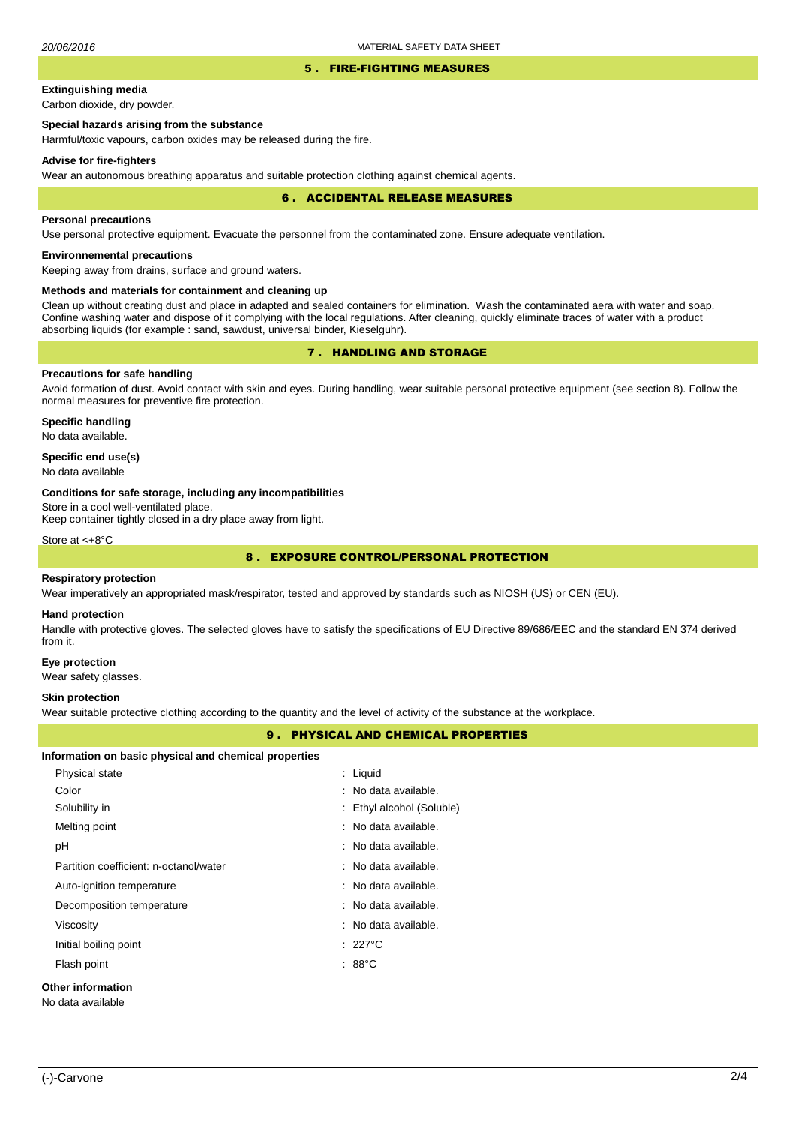### 5 . FIRE-FIGHTING MEASURES

# **Extinguishing media**

Carbon dioxide, dry powder.

# **Special hazards arising from the substance**

Harmful/toxic vapours, carbon oxides may be released during the fire.

#### **Advise for fire-fighters**

Wear an autonomous breathing apparatus and suitable protection clothing against chemical agents.

#### 6 . ACCIDENTAL RELEASE MEASURES

### **Personal precautions**

Use personal protective equipment. Evacuate the personnel from the contaminated zone. Ensure adequate ventilation.

# **Environnemental precautions**

Keeping away from drains, surface and ground waters.

### **Methods and materials for containment and cleaning up**

Clean up without creating dust and place in adapted and sealed containers for elimination. Wash the contaminated aera with water and soap. Confine washing water and dispose of it complying with the local regulations. After cleaning, quickly eliminate traces of water with a product absorbing liquids (for example : sand, sawdust, universal binder, Kieselguhr).

# 7 . HANDLING AND STORAGE

# **Precautions for safe handling**

Avoid formation of dust. Avoid contact with skin and eyes. During handling, wear suitable personal protective equipment (see section 8). Follow the normal measures for preventive fire protection.

**Specific handling** No data available.

### **Specific end use(s)**

No data available

#### **Conditions for safe storage, including any incompatibilities**

Store in a cool well-ventilated place.

Keep container tightly closed in a dry place away from light.

Store at <+8°C

# 8 . EXPOSURE CONTROL/PERSONAL PROTECTION

### **Respiratory protection**

Wear imperatively an appropriated mask/respirator, tested and approved by standards such as NIOSH (US) or CEN (EU).

#### **Hand protection**

Handle with protective gloves. The selected gloves have to satisfy the specifications of EU Directive 89/686/EEC and the standard EN 374 derived from it.

#### **Eye protection**

Wear safety glasses.

## **Skin protection**

Wear suitable protective clothing according to the quantity and the level of activity of the substance at the workplace.

## 9 . PHYSICAL AND CHEMICAL PROPERTIES

| Information on basic physical and chemical properties |          |
|-------------------------------------------------------|----------|
| Physical state                                        | himi I · |

| . , oroan orano                               |                           |
|-----------------------------------------------|---------------------------|
| Color                                         | : No data available.      |
| Solubility in                                 | : Ethyl alcohol (Soluble) |
| Melting point                                 | : No data available.      |
| рH                                            | : No data available.      |
| Partition coefficient: n-octanol/water        | : No data available.      |
| Auto-ignition temperature                     | : No data available.      |
| Decomposition temperature                     | : No data available.      |
| Viscosity                                     | : No data available.      |
| Initial boiling point                         | $: 227^{\circ}$ C         |
| Flash point                                   | : 88 $^{\circ}$ C         |
| <b>Other information</b><br>No data available |                           |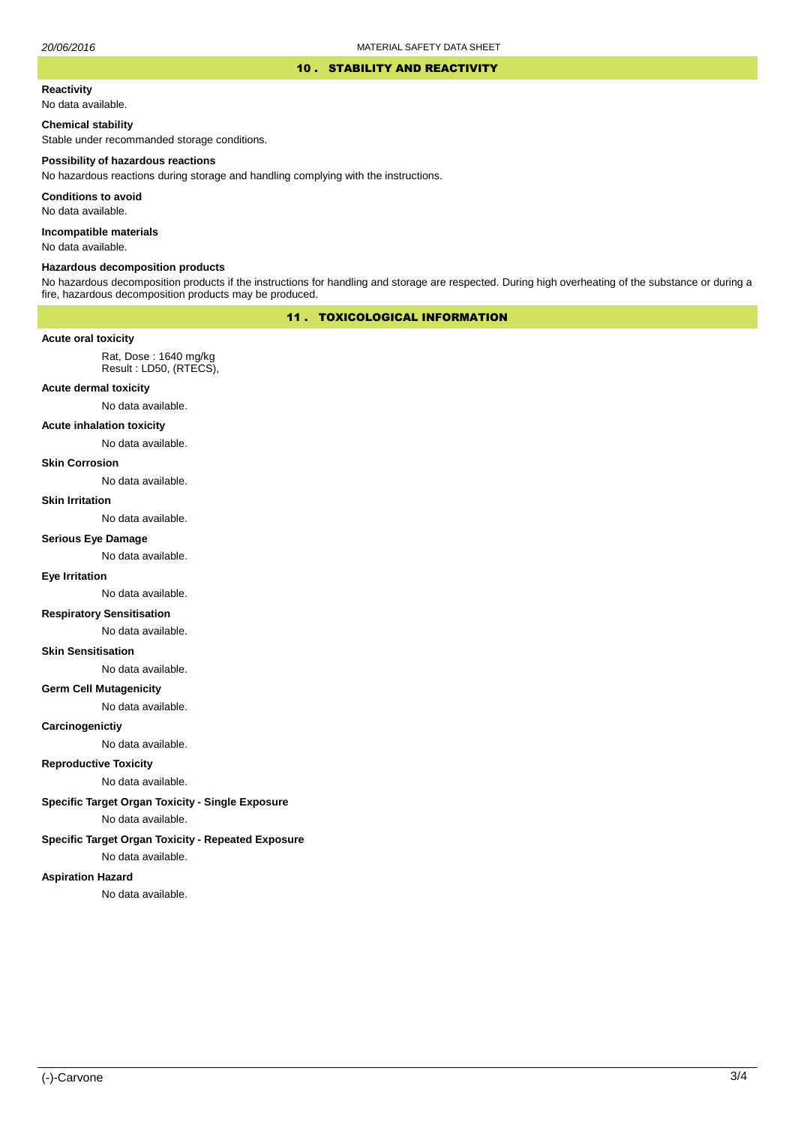### 10 . STABILITY AND REACTIVITY

#### **Reactivity**

No data available.

### **Chemical stability**

Stable under recommanded storage conditions.

#### **Possibility of hazardous reactions**

No hazardous reactions during storage and handling complying with the instructions.

**Conditions to avoid**

No data available.

**Incompatible materials**

No data available.

#### **Hazardous decomposition products**

No hazardous decomposition products if the instructions for handling and storage are respected. During high overheating of the substance or during a fire, hazardous decomposition products may be produced.

# 11 . TOXICOLOGICAL INFORMATION

#### **Acute oral toxicity**

Rat, Dose : 1640 mg/kg Result : LD50, (RTECS),

### **Acute dermal toxicity**

No data available.

### **Acute inhalation toxicity**

No data available.

### **Skin Corrosion**

No data available.

#### **Skin Irritation**

No data available.

### **Serious Eye Damage**

No data available.

## **Eye Irritation**

No data available.

# **Respiratory Sensitisation**

No data available.

# **Skin Sensitisation**

No data available.

#### **Germ Cell Mutagenicity**

No data available.

#### **Carcinogenictiy**

No data available.

## **Reproductive Toxicity**

No data available.

## **Specific Target Organ Toxicity - Single Exposure**

No data available.

# **Specific Target Organ Toxicity - Repeated Exposure**

No data available.

## **Aspiration Hazard**

No data available.